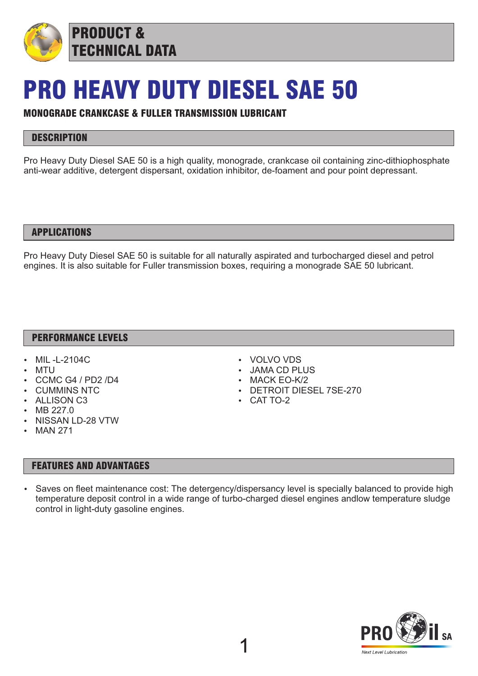

## PRO HEAVY DUTY DIESEL SAE 50

#### MONOGRADE CRANKCASE & FULLER TRANSMISSION LUBRICANT

### **DESCRIPTION**

Pro Heavy Duty Diesel SAE 50 is a high quality, monograde, crankcase oil containing zinc-dithiophosphate anti-wear additive, detergent dispersant, oxidation inhibitor, de-foament and pour point depressant.

#### APPLICATIONS

Pro Heavy Duty Diesel SAE 50 is suitable for all naturally aspirated and turbocharged diesel and petrol engines. It is also suitable for Fuller transmission boxes, requiring a monograde SAE 50 lubricant.

#### PERFORMANCE LEVELS

- MIL-L-2104C
- **MTU**
- CCMC G4 / PD2 /D4
- **CUMMINS NTC**
- **ALLISON C3**
- MB 227.0
- NISSAN LD-28 VTW
- **MAN 271**

#### FEATURES AND ADVANTAGES

- VOLVO VDS
- **JAMA CD PLUS**
- $-MACK EO-K/2$
- DETROIT DIESEL 7SE-270
- $\cdot$  CAT TO-2

Saves on fleet maintenance cost: The detergency/dispersancy level is specially balanced to provide high temperature deposit control in a wide range of turbo-charged diesel engines andlow temperature sludge control in light-duty gasoline engines.